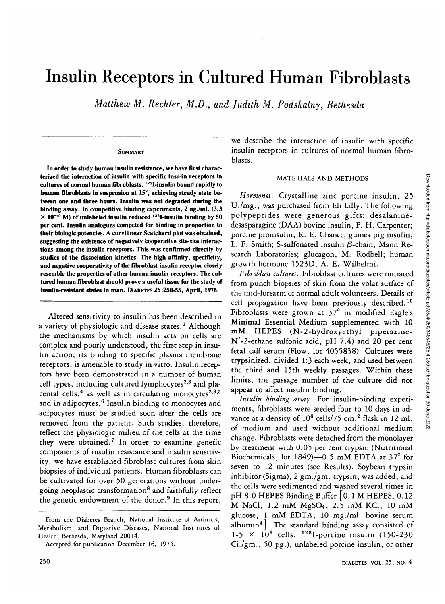# Insulin Receptors in Cultured Human Fibroblasts

*Matthew M. Rechler, M.D., and Judith M. Podskalny, Bethesda*

## **SUMMARY**

In order to study human insulin resistance, we have first characterized the interaction of insulin with specific insulin receptors in cultures of normal human fibroblasts. <sup>125</sup>I-insulin bound rapidly to **human fibroblasts in suspension at** 15°, **achieving steady state between one and three hours. Insulin** was **not degraded during the** binding assay. In competitive binding experiments, 2 ng./ml. (3.3  $\times$  10<sup>-10</sup> M) of unlabeled insulin reduced <sup>125</sup>I-insulin binding by 50 per cent. Insulin analogues competed for binding in proportion to their biologic potencies. A curvilinear Scatchard plot was obtained, suggesting the existence of negatively cooperative site-site interactions among the insulin receptors. This was confirmed directly by studies of the dissociation kinetics. The high affinity, specificity, and negative cooperativity of the fibroblast insulin receptor closely resemble the properties of other human insulin receptors. The cultured human fibroblast should prove a useful tissue for the study of **insulin-resistant states in man.** DIABETES 25:250-55, **April,** 1976.

Altered sensitivity to insulin has been described in a variety of physiologic and disease states.<sup>1</sup> Although the mechanisms by which insulin acts on cells are complex and poorly understood, the first step in insulin action, its binding to specific plasma membrane receptors, is amenable to study in vitro. Insulin receptors have been demonstrated in a number of human cell types, including cultured lymphocytes<sup>2,3</sup> and placental cells,<sup>4</sup> as well as in circulating monocytes<sup>2.3,5</sup> and in adipocytes.<sup>6</sup> Insulin binding to monocytes and adipocytes must be studied soon after the cells are removed from the patient. Such studies, therefore, reflect the physiologic milieu of the cells at the time they were obtained.<sup>7</sup> In order to examine genetic components of insulin resistance and insulin sensitivity, we have established fibroblast cultures from skin biopsies of individual patients. Human fibroblasts can be cultivated for over 50 generations without under- $\frac{1}{2}$  poing neoplastic transformation<sup>8</sup> and faithfully reflect ging the genetic endowment of the donor.<sup>9</sup> In this report,

From the Diabetes Branch, National Institute of Arthritis, Metabolism, and Digestive Diseases, National Institutes of Health, Bethesda, Maryland 20014.

we describe the interaction of insulin with specific insulin receptors in cultures of normal human fibroblasts.

# MATERIALS AND METHODS

*Hormones.* Crystalline zinc porcine insulin, 25 U./mg., was purchased from Eli Lilly. The following polypeptides were generous gifts: desalaninedesasparagine (DAA) bovine insulin, F. H. Carpenter; porcine proinsulin, R. E. Chance; guinea pig insulin, L. F. Smith; S-sulfonated insulin  $\beta$ -chain, Mann Research Laboratories; glucagon, M. Rodbell; human growth hormone 1523D, A. E. Wilhelmi.

*Fibroblast cultures.* Fibroblast cultures were initiated from punch biopsies of skin from the volar surface of the mid-forearm of normal adult volunteers. Details of cell propagation have been previously described.<sup>10</sup> Fibroblasts were grown at  $37^\circ$  in modified Eagle's Minimal Essential Medium supplemented with 10 mM HEPES (N-2-hydroxyethyl piperazine-N'-2-ethane sulfonic acid, pH 7.4) and 20 per cent fetal calf serum (Flow, lot 4055838). Cultures were trypsinized, divided 1:3 each week, and used between the third and 15th weekly passages. Within these limits, the passage number of the culture did not appear to affect insulin binding.

*Insulin binding assay.* For insulin-binding experiments, fibroblasts were seeded four to 10 days in advance at a density of 10<sup>6</sup> cells/75 cm.<sup>2</sup> flask in 12 ml. of medium and used without additional medium change. Fibroblasts were detached from the monolayer by treatment with 0.05 per cent trypsin (Nutritional Biochemicals, lot 1849)—0.5 mM EDTA at 37° for seven to 12 minutes (see Results). Soybean trypsin inhibitor (Sigma), 2 gm./gm. trypsin, was added, and the cells were sedimented and washed several times in pH 8.0 HEPES Binding Buffer | 0.1 M HEPES, 0.12 M NaCl, 1.2 mM MgSO4, 2.5 mM KC1, 10 mM glucose, 1 mM EDTA, 10 mg./ml. bovine serum albumin<sup>4</sup> j. The standard binding assay consisted of  $1-5 \times 10^6$  cells,  $125$ I-porcine insulin (150-230) Ci./gm., 50 pg.), unlabeled porcine insulin, or other

Accepted for publication December 16, 1975.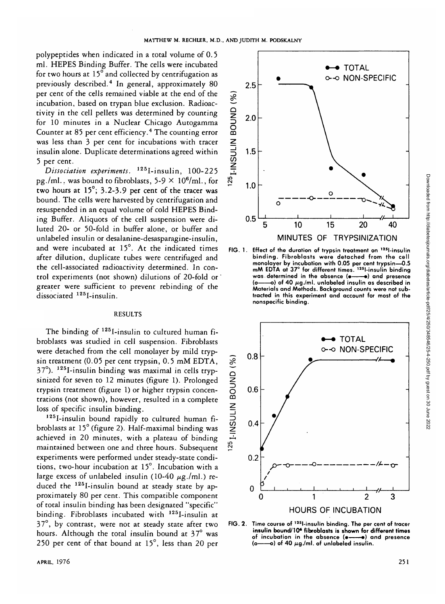polypeptides when indicated in a total volume of 0.5 ml. HEPES Binding Buffer. The cells were incubated for two hours at 15° and collected by centrifugation as previously described.<sup>4</sup> In general, approximately 80 per cent of the cells remained viable at the end of the incubation, based on trypan blue exclusion. Radioactivity in the cell pellets was determined by counting for 10 minutes in a Nuclear Chicago Autogamma Counter at 85 per cent efficiency.<sup>4</sup> The counting error was less than 3 per cent for incubations with tracer insulin alone. Duplicate determinations agreed within 5 per cent.

*Dissociation experiments.* 125I-insulin, 100-225 pg./ml., was bound to fibroblasts, 5-9  $\times$  10<sup>6</sup>/ml., for two hours at  $15^\circ$ ; 3.2-3.9 per cent of the tracer was bound. The cells were harvested by centrifugation and resuspended in an equal volume of cold HEPES Binding Buffer. Aliquots of the cell suspension were diluted 20- or 50-fold in buffer alone, or buffer and unlabeled insulin or desalanine-desasparagine-insulin, and were incubated at 15°. At the indicated times after dilution, duplicate tubes were centrifuged and the cell-associated radioactivity determined. In control experiments (not shown) dilutions of 20-fold or' greater were sufficient to prevent rebinding of the dissociated 125I-insulin.

#### RESULTS

The binding of 125I-insulin to cultured human fibroblasts was studied in cell suspension. Fibroblasts were detached from the cell monolayer by mild trypsin treatment (0.05 per cent trypsin, 0.5 mM EDTA, 37°). 125I-insulin binding was maximal in cells trypsinized for seven to 12 minutes (figure 1). Prolonged trypsin treatment (figure 1) or higher trypsin concentrations (not shown), however, resulted in a complete loss of specific insulin binding.

125I-insulin bound rapidly to cultured human fibroblasts at 15° (figure 2). Half-maximal binding was achieved in 20 minutes, with a plateau of binding maintained between one and three hours. Subsequent experiments were performed under steady-state conditions, two-hour incubation at 15°. Incubation with a large excess of unlabeled insulin (10-40  $\mu$ g./ml.) reduced the 125I-insulin bound at steady state by approximately 80 per cent. This compatible component of total insulin binding has been designated "specific" binding. Fibroblasts incubated with 125I-insulin at 37°, by contrast, were not at steady state after two hours. Although the total insulin bound at 37° was 250 per cent of that bound at 15°, less than 20 per



**FIG. 1.** Effect of the duration of trypsin treatment on 12Sl-insulin binding. Fibroblasts were detached from the cell monolayer by incubation with 0.05 per cent trypsin—0.5 mM EDTA at 37° for different times. 12Sl-insulin binding was determined in the absence (e--- a) and presence -o) of 40  $\mu$ g./ml. unlabeled insulin as described in Materials and Methods. Background counts were not subtracted in this experiment and account for most of the nonspecific binding.



FIG. 2. Time course of <sup>125</sup>l-insulin binding. The per cent of tracer **insulin bound/10\* fibroblasts is shown for different times** of incubation in the absence  $(e \rightarrow e)$  and presence  $(e \rightarrow e)$  of 40  $\mu$ a/ml, of unlabeled insulin. –o) of 40  $\mu$ g./ml. of unlabeled insulin.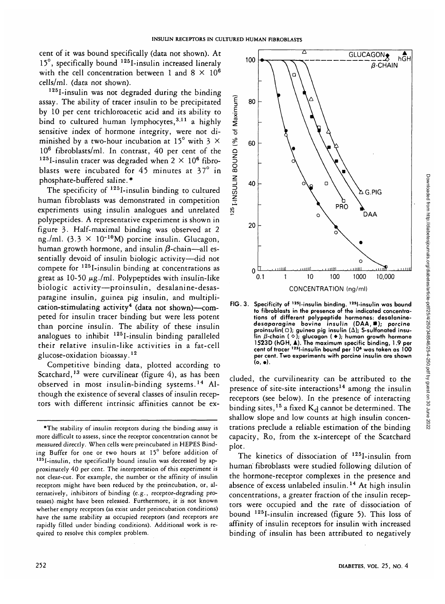cent of it was bound specifically (data not shown). At 15°, specifically bound <sup>125</sup>I-insulin increased lineraly with the cell concentration between 1 and  $8 \times 10^6$ cells/ml, (data not shown).

125I-insulin was not degraded during the binding assay. The ability of tracer insulin to be precipitated by 10 per cent trichloroacetic acid and its ability to bind to cultured human lymphocytes,<sup>3,11</sup> a highly sensitive index of hormone integrity, were not diminished by a two-hour incubation at 15° with 3  $\times$ 10<sup>6</sup> fibroblasts/ml. In contrast, 40 per cent of the <sup>125</sup>I-insulin tracer was degraded when  $2 \times 10^6$  fibroblasts were incubated for 45 minutes at 37° in phosphate-buffered saline.\*

The specificity of <sup>125</sup>I-insulin binding to cultured human fibroblasts was demonstrated in competition experiments using insulin analogues and unrelated polypeptides. A representative experiment is shown in figure 3. Half-maximal binding was observed at 2 ng./ml.  $(3.3 \times 10^{-10} \text{M})$  porcine insulin. Glucagon, human growth hormone, and insulin  $\beta$ -chain—all essentially devoid of insulin biologic activity—did not compete for 125I-insulin binding at concentrations as great as  $10-50 \mu g$ ./ml. Polypeptides with insulin-like biologic activity—proinsulin, desalanine-desasparagihe insulin, guinea pig insulin, and multiplication-stimulating activity<sup>4</sup> (data not shown)—competed for insulin tracer binding but were less potent than porcine insulin. The ability of these insulin analogues to inhibit <sup>125</sup>I-insulin binding paralleled their relative insulin-like activities in a fat-cell glucose-oxidation bioassay.<sup>12</sup>

Competitive binding data, plotted according to Scatchard,<sup>13</sup> were curvilinear (figure 4), as has been observed in most insulin-binding systems.<sup>14</sup> Although the existence of several classes of insulin receptors with different intrinsic affinities cannot be ex-



**FIG. 3. Specificity of 12Sl-insulin binding. 125l-insulin was bound to fibroblasts in the presence of the indicated concentrations of different polypeptide hormones: desalaninedesaparagine bovine insulin (DAA,B); porcine proinsulin( O); guinea pig insulin (A); S-sulfonated insulin /3-chain (O); glucagon (•) ; human growth hormone 1523D (hGH, A). The maximum specific binding, 1.9 per cent of tracer 1Jsl-insulin bound per 10\* was taken as 100 per cent. Two experiments with porcine insulin are shown (o, •) .**

eluded, the curvilinearity can be attributed to the presence of site-site interactions<sup>14</sup> among the insulin receptors (see below). In the presence of interacting binding sites, <sup>15</sup> a fixed  $K_d$  cannot be determined. The shallow slope and low counts at high insulin concentrations preclude a reliable estimation of the binding capacity, Ro, from the x-intercept of the Scatchard plot.

The kinetics of dissociation of <sup>125</sup>I-insulin from human fibroblasts were studied following dilution of the hormone-receptor complexes in the presence and absence of excess unlabeled insulin.<sup>14</sup> At high insulin concentrations, a greater fraction of the insulin receptors were occupied and the rate of dissociation of bound 125I-insulin increased (figure 5). This loss of affinity of insulin receptors for insulin with increased binding of insulin has been attributed to negatively

<sup>\*</sup>The stability of insulin receptors during the binding assay is more difficult to assess, since the receptor concentration cannot be measured directly. When cells were preincubated in HEPES Binding Buffer for one or two hours at  $15^{\circ}$  before addition of  $125$ I-insulin, the specifically bound insulin was decreased by approximately 40 per cent. The interpretation of this experiment is not clear-cut. For example, the number or the affinity of insulin receptors might have been reduced by the preincubation, or, alternatively, inhibitors of binding (e.g., receptor-degrading proteases) might have been released. Furthermore, it is not known whether empty receptors (as exist under preincubation conditions) have the same stability as occupied receptors (and receptors are rapidly filled under binding conditions). Additional work is required to resolve this complex problem.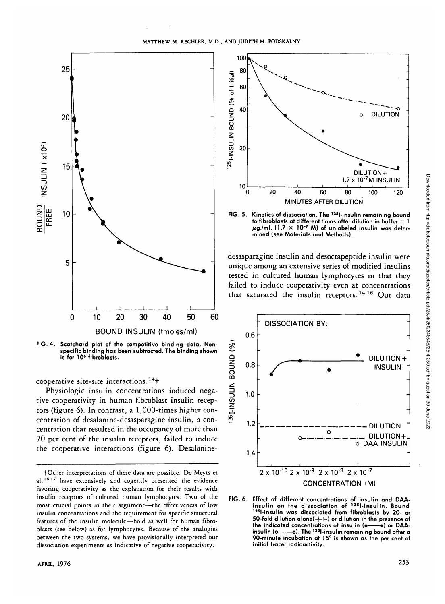



cooperative site-site interactions. 14f

Physiologic insulin concentrations induced negative cooperativity in human fibroblast insulin receptors (figure 6). In contrast, a 1,000-times higher concentration of desalanine-desasparagine insulin, a concentration that resulted in the occupancy of more than 70 per cent of the insulin receptors, failed to induce the cooperative interactions (figure 6). Desalanine-



**FIG. 5. Kinetics of dissociation. The 12Sl-insulin remaining bound to fibroblasts at different times after dilution in buffer ± 1 /ig./ml. (1.7 X 10~7 M) of unlabeled insulin was determined (see Materials and Methods).**

desasparagine insulin and desoctapeptide insulin were unique among an extensive series of modified insulins tested in cultured human lymphocytes in that they failed to induce cooperativity even at concentrations that saturated the insulin receptors.<sup>14,16</sup> Our data



**FIG. 6. Effect of different concentrations of insulin and DAAinsulin on the dissociation of** 1251-insulin was dissociated from fibroblasts by 20- or **50-fold dilution alone(-|-|—) or dilution in the presence of the indicated concentrations of insulin (•——•) or DAA-insulin (o——o). The 125l-insulin remaining bound after a 90-minute incubation at 15° is shown as the per cent of initial tracer radioactivity.**

fOther interpretations of these data are possible. De Meyts et al.<sup>16.17</sup> have extensively and cogently presented the evidence favoring cooperativity as the explanation for their results with insulin receptors of cultured human lymphocytes. Two of the most crucial points in their argument—the effectiveness of low insulin concentrations and the requirement for specific structural features of the insulin molecule—hold as well for human fibroblasts (see below) as for lymphocytes. Because of the analogies between the two systems, we have provisionally interpreted our dissociation experiments as indicative of negative cooperativity.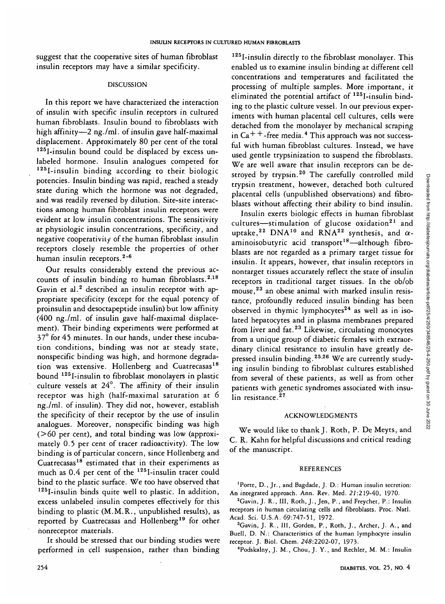suggest that the cooperative sites of human fibroblast insulin receptors may have a similar specificity.

## DISCUSSION

In this report we have characterized the interaction of insulin with specific insulin receptors in cultured human fibroblasts. Insulin bound to fibroblasts with high affinity—2 ng./ml. of insulin gave half-maximal displacement. Approximately 80 per cent of the total 125I-insulin bound could be displaced by excess unlabeled hormone. Insulin analogues competed for  $125$ I-insulin binding according to their biologic potencies. Insulin binding was rapid, reached a steady state during which the hormone was not degraded, and was readily reversed by dilution. Site-site interactions among human fibroblast insulin receptors were evident at low insulin concentrations. The sensitivity at physiologic insulin concentrations, specificity, and negative cooperativity of the human fibroblast insulin receptors closely resemble the properties of other human insulin receptors.<sup>2-6</sup>

Our results considerably extend the previous accounts of insulin binding to human fibroblasts. $2,18$ Gavin et al.<sup>2</sup> described an insulin receptor with appropriate specificity (except for the equal potency of proinsulin and desoctapeptide insulin) but low affinity (400 ng./ml. of insulin gave half-maximal displacement). Their binding experiments were performed at 37° for 45 minutes. In our hands, under these incubation conditions, binding was not at steady state, nonspecific binding was high, and hormone degradation was extensive. Hollenberg and Cuatrecasas<sup>18</sup> bound 125I-insulin to fibroblast monolayers in plastic culture vessels at 24°. The affinity of their insulin receptor was high (half-maximal saturation at 6 ng./ml. of insulin). They did not, however, establish the specificity of their receptor by the use of insulin analogues. Moreover, nonspecific binding was high (>60 per cent), and total binding was low (approximately 0.5 per cent of tracer radioactivity). The low binding is of particular concern, since Hollenberg and Cuatrecasas<sup>18</sup> estimated that in their experiments as much as  $0.4$  per cent of the  $125$ -insulin tracer could bind to the plastic surface. We too have observed that 125I-insulin binds quite well to plastic. In addition, excess unlabeled insulin competes effectively for this binding to plastic (M.M.R., unpublished results), as enorted by Cuatrecasas and Hollenberg<sup>19</sup> for other honreceptor materials.

It should be stressed that our binding studies were performed in cell suspension, rather than binding

125I-insulin directly to the fibroblast monolayer. This enabled us to examine insulin binding at different cell concentrations and temperatures and facilitated the processing of multiple samples. More important, it eliminated the potential artifact of 125I-insulin binding to the plastic culture vessel. In our previous experiments with human placental cell cultures, cells were detached from the monolayer by mechanical scraping in Ca $+$  +-free media.<sup>4</sup> This approach was not successful with human fibroblast cultures. Instead, we have used gentle trypsinization to suspend the fibroblasts. We are well aware that insulin receptors can be destroyed by trypsin.<sup>20</sup> The carefully controlled mild trypsin treatment, however, detached both cultured placental cells (unpublished observations) and fibroblasts without affecting their ability to bind insulin.

Insulin exerts biologic effects in human fibroblast cultures—stimulation of glucose oxidation<sup>21</sup> and uptake,<sup>22</sup> DNA<sup>10</sup> and RNA<sup>22</sup> synthesis, and  $\alpha$ aminoisobutyric acid transport<sup>18</sup>—although fibroblasts are not regarded as a primary target tissue for insulin. It appears, however, that insulin receptors in nontarget tissues accurately reflect the state of insulin receptors in traditional target tissues. In the ob/ob mouse,<sup>23</sup> an obese animal with marked insulin resistance, profoundly reduced insulin binding has been observed in thymic lymphocytes<sup>24</sup> as well as in isolated hepatocytes and in plasma membranes prepared from liver and fat.<sup>23</sup> Likewise, circulating monocytes from a unique group of diabetic females with extraordinary clinical resistance to insulin have greatly depressed insulin binding.<sup>25,26</sup> We are currently studying insulin binding to fibroblast cultures established from several of these patients, as well as from other patients with genetic syndromes associated with insulin resistance.<sup>27</sup>

# ACKNOWLEDGMENTS

We would like to thank J. Roth, P. De Meyts, and C. R. Kahn for helpful discussions and critical reading of the manuscript.

## REFERENCES

'Porte, D., Jr., and Bagdade, J. D.: Human insulin secretion: An integrated approach. Ann. Rev. Med. 22:219-40, 1970. <sup>2</sup>

<sup>2</sup>Gavin, J. R., III, Roth, J., Jen, P., and Freychet, P.: Insulin receptors in human circulating cells and fibroblasts. Proc. Natl. Acad. Sci. U.S.A. 69:747-51, 1972.

<sup>3</sup>Gavin, J. R., III, Gorden, P., Roth, J., Archer, J. A., and Buell, D. N.: Characteristics of the human lymphocyte insulin receptor. J. Biol. Chem. 248:2202-07, 1973. <sup>4</sup>

Podskalny, J. M., Chou, J. Y., and Rechler, M. M: Insulin